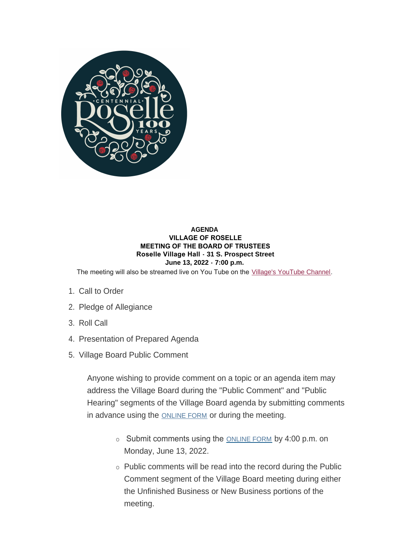

### **AGENDA VILLAGE OF ROSELLE MEETING OF THE BOARD OF TRUSTEES Roselle Village Hall - 31 S. Prospect Street June 13, 2022 - 7:00 p.m.**

The meeting will also be streamed live on You Tube on the [Village's YouTube Channel](https://www.youtube.com/user/villageofroselle).

- 1. Call to Order
- 2. Pledge of Allegiance
- 3. Roll Call
- 4. Presentation of Prepared Agenda
- 5. Village Board Public Comment

Anyone wishing to provide comment on a topic or an agenda item may address the Village Board during the "Public Comment" and "Public Hearing" segments of the Village Board agenda by submitting comments in advance using the **[ONLINE FORM](https://www.roselle.il.us/FormCenter/Village-Board-Forms-13/Village-Board-Meeting-Public-Participati-75)** or during the meeting.

- Submit comments using the **[ONLINE FORM](https://www.roselle.il.us/FormCenter/Village-Board-Forms-13/Village-Board-Meeting-Public-Participati-75)** by 4:00 p.m. on Monday, June 13, 2022.
- $\circ$  Public comments will be read into the record during the Public Comment segment of the Village Board meeting during either the Unfinished Business or New Business portions of the meeting.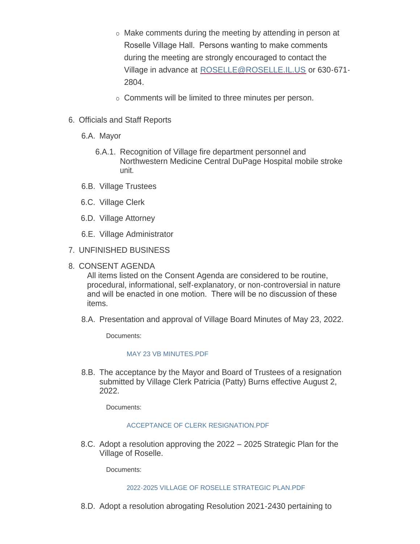- o Make comments during the meeting by attending in person at Roselle Village Hall. Persons wanting to make comments during the meeting are strongly encouraged to contact the Village in advance at [ROSELLE@ROSELLE.IL.US](mailto:roselle@roselle.il.us) or 630-671- 2804.
- o Comments will be limited to three minutes per person.
- 6. Officials and Staff Reports
	- 6.A. Mayor
		- 6.A.1. Recognition of Village fire department personnel and Northwestern Medicine Central DuPage Hospital mobile stroke unit.
	- 6.B. Village Trustees
	- 6.C. Village Clerk
	- 6.D. Village Attorney
	- 6.E. Village Administrator
- UNFINISHED BUSINESS 7.
- 8. CONSENT AGENDA

All items listed on the Consent Agenda are considered to be routine, procedural, informational, self-explanatory, or non-controversial in nature and will be enacted in one motion. There will be no discussion of these items.

8.A. Presentation and approval of Village Board Minutes of May 23, 2022.

Documents:

# [MAY 23 VB MINUTES.PDF](https://www.roselle.il.us/AgendaCenter/ViewFile/Item/5322?fileID=5996)

8.B. The acceptance by the Mayor and Board of Trustees of a resignation submitted by Village Clerk Patricia (Patty) Burns effective August 2, 2022.

Documents:

# [ACCEPTANCE OF CLERK RESIGNATION.PDF](https://www.roselle.il.us/AgendaCenter/ViewFile/Item/5321?fileID=5995)

8.C. Adopt a resolution approving the 2022 – 2025 Strategic Plan for the Village of Roselle.

Documents:

# [2022-2025 VILLAGE OF ROSELLE STRATEGIC PLAN.PDF](https://www.roselle.il.us/AgendaCenter/ViewFile/Item/5328?fileID=5999)

8.D. Adopt a resolution abrogating Resolution 2021-2430 pertaining to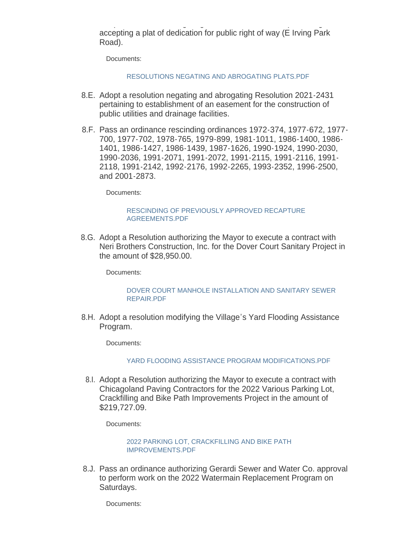Adopt a resolution abrogating Resolution 2021-2430 pertaining to accepting a plat of dedication for public right of way (E Irving Park Road).

Documents:

### [RESOLUTIONS NEGATING AND ABROGATING PLATS.PDF](https://www.roselle.il.us/AgendaCenter/ViewFile/Item/5329?fileID=6014)

- 8.E. Adopt a resolution negating and abrogating Resolution 2021-2431 pertaining to establishment of an easement for the construction of public utilities and drainage facilities.
- 8.F. Pass an ordinance rescinding ordinances 1972-374, 1977-672, 1977-700, 1977-702, 1978-765, 1979-899, 1981-1011, 1986-1400, 1986- 1401, 1986-1427, 1986-1439, 1987-1626, 1990-1924, 1990-2030, 1990-2036, 1991-2071, 1991-2072, 1991-2115, 1991-2116, 1991- 2118, 1991-2142, 1992-2176, 1992-2265, 1993-2352, 1996-2500, and 2001-2873.

Documents:

### [RESCINDING OF PREVIOUSLY APPROVED RECAPTURE](https://www.roselle.il.us/AgendaCenter/ViewFile/Item/5331?fileID=6015)  AGREEMENTS.PDF

8.G. Adopt a Resolution authorizing the Mayor to execute a contract with Neri Brothers Construction, Inc. for the Dover Court Sanitary Project in the amount of \$28,950.00.

Documents:

#### [DOVER COURT MANHOLE INSTALLATION AND SANITARY SEWER](https://www.roselle.il.us/AgendaCenter/ViewFile/Item/5337?fileID=6007)  REPAIR.PDF

8.H. Adopt a resolution modifying the Village's Yard Flooding Assistance Program.

Documents:

### [YARD FLOODING ASSISTANCE PROGRAM MODIFICATIONS.PDF](https://www.roselle.il.us/AgendaCenter/ViewFile/Item/5338?fileID=6008)

8.I. Adopt a Resolution authorizing the Mayor to execute a contract with Chicagoland Paving Contractors for the 2022 Various Parking Lot, Crackfilling and Bike Path Improvements Project in the amount of \$219,727.09.

Documents:

### [2022 PARKING LOT, CRACKFILLING AND BIKE PATH](https://www.roselle.il.us/AgendaCenter/ViewFile/Item/5340?fileID=6010)  IMPROVEMENTS.PDF

8.J. Pass an ordinance authorizing Gerardi Sewer and Water Co. approval to perform work on the 2022 Watermain Replacement Program on Saturdays.

Documents: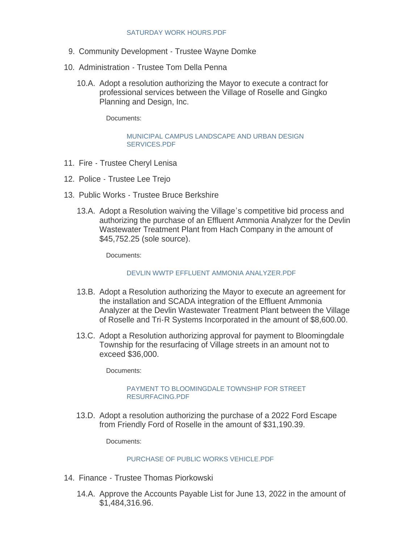- 9. Community Development Trustee Wayne Domke
- 10. Administration Trustee Tom Della Penna
	- 10.A. Adopt a resolution authorizing the Mayor to execute a contract for professional services between the Village of Roselle and Gingko Planning and Design, Inc.

Documents:

[MUNICIPAL CAMPUS LANDSCAPE AND URBAN DESIGN](https://www.roselle.il.us/AgendaCenter/ViewFile/Item/5326?fileID=5997)  SERVICES.PDF

- 11. Fire Trustee Cheryl Lenisa
- 12. Police Trustee Lee Trejo
- 13. Public Works Trustee Bruce Berkshire
	- 13.A. Adopt a Resolution waiving the Village's competitive bid process and authorizing the purchase of an Effluent Ammonia Analyzer for the Devlin Wastewater Treatment Plant from Hach Company in the amount of \$45,752.25 (sole source).

Documents:

### [DEVLIN WWTP EFFLUENT AMMONIA ANALYZER.PDF](https://www.roselle.il.us/AgendaCenter/ViewFile/Item/5334?fileID=6005)

- 13.B. Adopt a Resolution authorizing the Mayor to execute an agreement for the installation and SCADA integration of the Effluent Ammonia Analyzer at the Devlin Wastewater Treatment Plant between the Village of Roselle and Tri-R Systems Incorporated in the amount of \$8,600.00.
- 13.C. Adopt a Resolution authorizing approval for payment to Bloomingdale Township for the resurfacing of Village streets in an amount not to exceed \$36,000.

Documents:

### [PAYMENT TO BLOOMINGDALE TOWNSHIP FOR STREET](https://www.roselle.il.us/AgendaCenter/ViewFile/Item/5336?fileID=6006)  RESURFACING.PDF

13.D. Adopt a resolution authorizing the purchase of a 2022 Ford Escape from Friendly Ford of Roselle in the amount of \$31,190.39.

Documents:

### [PURCHASE OF PUBLIC WORKS VEHICLE.PDF](https://www.roselle.il.us/AgendaCenter/ViewFile/Item/5342?fileID=6012)

- 14. Finance Trustee Thomas Piorkowski
	- 14.A. Approve the Accounts Payable List for June 13, 2022 in the amount of \$1,484,316.96.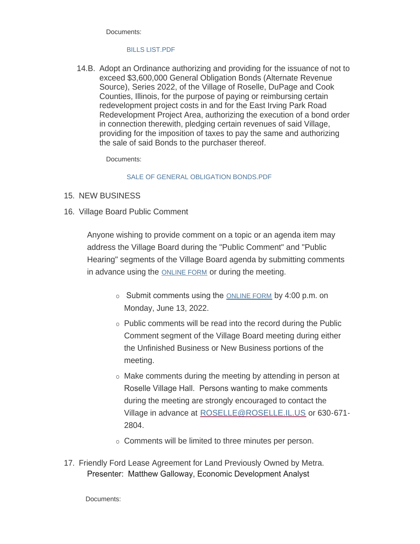Documents:

# [BILLS LIST.PDF](https://www.roselle.il.us/AgendaCenter/ViewFile/Item/5327?fileID=5998)

14.B. Adopt an Ordinance authorizing and providing for the issuance of not to exceed \$3,600,000 General Obligation Bonds (Alternate Revenue Source), Series 2022, of the Village of Roselle, DuPage and Cook Counties, Illinois, for the purpose of paying or reimbursing certain redevelopment project costs in and for the East Irving Park Road Redevelopment Project Area, authorizing the execution of a bond order in connection therewith, pledging certain revenues of said Village, providing for the imposition of taxes to pay the same and authorizing the sale of said Bonds to the purchaser thereof.

Documents:

# [SALE OF GENERAL OBLIGATION BONDS.PDF](https://www.roselle.il.us/AgendaCenter/ViewFile/Item/5332?fileID=6003)

- 15. NEW BUSINESS
- 16. Village Board Public Comment

Anyone wishing to provide comment on a topic or an agenda item may address the Village Board during the "Public Comment" and "Public Hearing" segments of the Village Board agenda by submitting comments in advance using the [ONLINE FORM](https://www.roselle.il.us/FormCenter/Village-Board-Forms-13/Village-Board-Meeting-Public-Participati-75) or during the meeting.

- $\circ$  Submit comments using the [ONLINE FORM](https://www.roselle.il.us/FormCenter/Village-Board-Forms-13/Village-Board-Meeting-Public-Participati-75) by 4:00 p.m. on Monday, June 13, 2022.
- $\circ$  Public comments will be read into the record during the Public Comment segment of the Village Board meeting during either the Unfinished Business or New Business portions of the meeting.
- o Make comments during the meeting by attending in person at Roselle Village Hall. Persons wanting to make comments during the meeting are strongly encouraged to contact the Village in advance at [ROSELLE@ROSELLE.IL.US](mailto:roselle@roselle.il.us) or 630-671- 2804.
- o Comments will be limited to three minutes per person.
- 17. Friendly Ford Lease Agreement for Land Previously Owned by Metra. Presenter: Matthew Galloway, Economic Development Analyst

Documents: